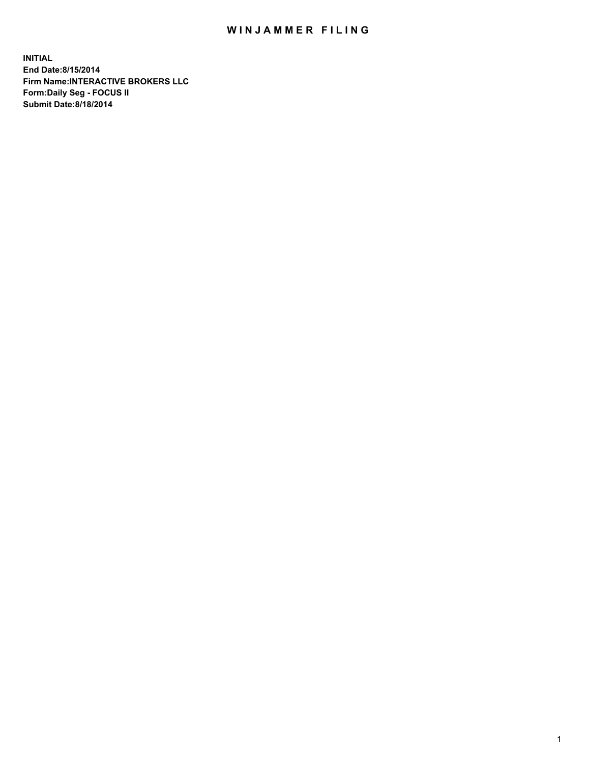## WIN JAMMER FILING

**INITIAL End Date:8/15/2014 Firm Name:INTERACTIVE BROKERS LLC Form:Daily Seg - FOCUS II Submit Date:8/18/2014**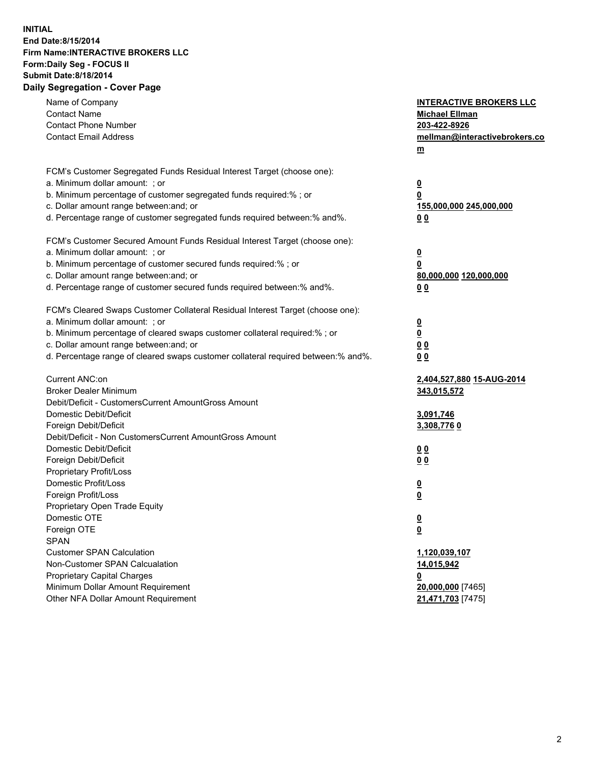## **INITIAL End Date:8/15/2014 Firm Name:INTERACTIVE BROKERS LLC Form:Daily Seg - FOCUS II Submit Date:8/18/2014 Daily Segregation - Cover Page**

| Name of Company<br><b>Contact Name</b><br><b>Contact Phone Number</b><br><b>Contact Email Address</b>    | <b>INTERACTIVE BROKERS LLC</b><br><b>Michael Ellman</b><br>203-422-8926<br>mellman@interactivebrokers.co<br>$m$ |
|----------------------------------------------------------------------------------------------------------|-----------------------------------------------------------------------------------------------------------------|
| FCM's Customer Segregated Funds Residual Interest Target (choose one):<br>a. Minimum dollar amount: ; or | $\overline{\mathbf{0}}$                                                                                         |
| b. Minimum percentage of customer segregated funds required:% ; or                                       | 0                                                                                                               |
| c. Dollar amount range between: and; or                                                                  | 155,000,000 245,000,000                                                                                         |
| d. Percentage range of customer segregated funds required between:% and%.                                | 0 <sub>0</sub>                                                                                                  |
| FCM's Customer Secured Amount Funds Residual Interest Target (choose one):                               |                                                                                                                 |
| a. Minimum dollar amount: ; or                                                                           | $\overline{\mathbf{0}}$                                                                                         |
| b. Minimum percentage of customer secured funds required:% ; or                                          | 0                                                                                                               |
| c. Dollar amount range between: and; or                                                                  | 80,000,000 120,000,000                                                                                          |
| d. Percentage range of customer secured funds required between:% and%.                                   | 0 <sub>0</sub>                                                                                                  |
| FCM's Cleared Swaps Customer Collateral Residual Interest Target (choose one):                           |                                                                                                                 |
| a. Minimum dollar amount: ; or                                                                           | $\overline{\mathbf{0}}$                                                                                         |
| b. Minimum percentage of cleared swaps customer collateral required:% ; or                               | $\overline{\mathbf{0}}$                                                                                         |
| c. Dollar amount range between: and; or                                                                  | 0 <sub>0</sub>                                                                                                  |
| d. Percentage range of cleared swaps customer collateral required between:% and%.                        | 0 <sub>0</sub>                                                                                                  |
| Current ANC:on                                                                                           | 2,404,527,880 15-AUG-2014                                                                                       |
| <b>Broker Dealer Minimum</b>                                                                             | 343,015,572                                                                                                     |
| Debit/Deficit - CustomersCurrent AmountGross Amount                                                      |                                                                                                                 |
| Domestic Debit/Deficit                                                                                   | 3,091,746                                                                                                       |
| Foreign Debit/Deficit                                                                                    | 3,308,7760                                                                                                      |
| Debit/Deficit - Non CustomersCurrent AmountGross Amount                                                  |                                                                                                                 |
| Domestic Debit/Deficit                                                                                   | 0 <sub>0</sub>                                                                                                  |
| Foreign Debit/Deficit                                                                                    | 0 <sub>0</sub>                                                                                                  |
| Proprietary Profit/Loss                                                                                  |                                                                                                                 |
| Domestic Profit/Loss<br>Foreign Profit/Loss                                                              | $\overline{\mathbf{0}}$                                                                                         |
| Proprietary Open Trade Equity                                                                            | $\underline{\mathbf{0}}$                                                                                        |
| Domestic OTE                                                                                             | <u>0</u>                                                                                                        |
| Foreign OTE                                                                                              |                                                                                                                 |
| <b>SPAN</b>                                                                                              | <u>0</u>                                                                                                        |
| <b>Customer SPAN Calculation</b>                                                                         | 1,120,039,107                                                                                                   |
| Non-Customer SPAN Calcualation                                                                           | 14,015,942                                                                                                      |
| Proprietary Capital Charges                                                                              | <u>0</u>                                                                                                        |
| Minimum Dollar Amount Requirement                                                                        | 20,000,000 [7465]                                                                                               |
| Other NFA Dollar Amount Requirement                                                                      | 21,471,703 [7475]                                                                                               |
|                                                                                                          |                                                                                                                 |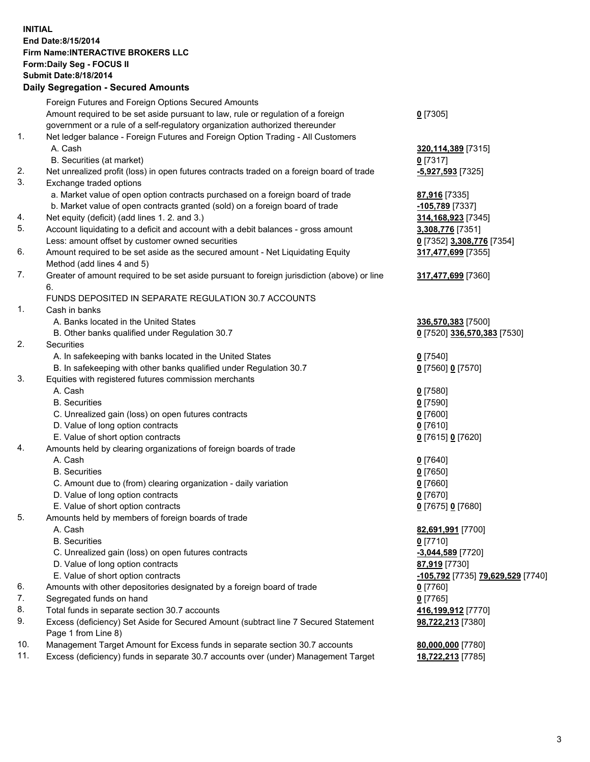## **INITIAL End Date:8/15/2014 Firm Name:INTERACTIVE BROKERS LLC Form:Daily Seg - FOCUS II Submit Date:8/18/2014 Daily Segregation - Secured Amounts**

|                | Daily Jegregation - Jeculed Aniounts                                                        |                                   |
|----------------|---------------------------------------------------------------------------------------------|-----------------------------------|
|                | Foreign Futures and Foreign Options Secured Amounts                                         |                                   |
|                | Amount required to be set aside pursuant to law, rule or regulation of a foreign            | $0$ [7305]                        |
|                | government or a rule of a self-regulatory organization authorized thereunder                |                                   |
| 1.             | Net ledger balance - Foreign Futures and Foreign Option Trading - All Customers             |                                   |
|                | A. Cash                                                                                     | 320,114,389 [7315]                |
|                | B. Securities (at market)                                                                   | $0$ [7317]                        |
| 2.             | Net unrealized profit (loss) in open futures contracts traded on a foreign board of trade   | -5,927,593 [7325]                 |
| 3.             | Exchange traded options                                                                     |                                   |
|                | a. Market value of open option contracts purchased on a foreign board of trade              | 87,916 [7335]                     |
|                | b. Market value of open contracts granted (sold) on a foreign board of trade                | -105,789 [7337]                   |
| 4.             | Net equity (deficit) (add lines 1. 2. and 3.)                                               | 314, 168, 923 [7345]              |
| 5.             | Account liquidating to a deficit and account with a debit balances - gross amount           | 3,308,776 [7351]                  |
|                | Less: amount offset by customer owned securities                                            | 0 [7352] 3,308,776 [7354]         |
| 6.             | Amount required to be set aside as the secured amount - Net Liquidating Equity              | 317,477,699 [7355]                |
|                | Method (add lines 4 and 5)                                                                  |                                   |
| 7.             | Greater of amount required to be set aside pursuant to foreign jurisdiction (above) or line | 317,477,699 [7360]                |
|                | 6.                                                                                          |                                   |
|                | FUNDS DEPOSITED IN SEPARATE REGULATION 30.7 ACCOUNTS                                        |                                   |
| $\mathbf{1}$ . | Cash in banks                                                                               |                                   |
|                | A. Banks located in the United States                                                       | 336,570,383 [7500]                |
|                | B. Other banks qualified under Regulation 30.7                                              | 0 [7520] 336,570,383 [7530]       |
| 2.             | Securities                                                                                  |                                   |
|                | A. In safekeeping with banks located in the United States                                   | $0$ [7540]                        |
|                | B. In safekeeping with other banks qualified under Regulation 30.7                          | 0 [7560] 0 [7570]                 |
| 3.             | Equities with registered futures commission merchants                                       |                                   |
|                | A. Cash                                                                                     | $0$ [7580]                        |
|                | <b>B.</b> Securities                                                                        | $0$ [7590]                        |
|                | C. Unrealized gain (loss) on open futures contracts                                         | $0$ [7600]                        |
|                | D. Value of long option contracts                                                           | $0$ [7610]                        |
|                | E. Value of short option contracts                                                          | 0 [7615] 0 [7620]                 |
| 4.             | Amounts held by clearing organizations of foreign boards of trade                           |                                   |
|                | A. Cash                                                                                     | $0$ [7640]                        |
|                | <b>B.</b> Securities                                                                        | $0$ [7650]                        |
|                | C. Amount due to (from) clearing organization - daily variation                             | $0$ [7660]                        |
|                | D. Value of long option contracts                                                           | $0$ [7670]                        |
|                | E. Value of short option contracts                                                          | 0 [7675] 0 [7680]                 |
| 5.             | Amounts held by members of foreign boards of trade                                          |                                   |
|                | A. Cash                                                                                     | 82,691,991 [7700]                 |
|                | <b>B.</b> Securities                                                                        | $0$ [7710]                        |
|                | C. Unrealized gain (loss) on open futures contracts                                         | -3,044,589 [7720]                 |
|                | D. Value of long option contracts                                                           | 87,919 [7730]                     |
|                | E. Value of short option contracts                                                          | -105,792 [7735] 79,629,529 [7740] |
| 6.             | Amounts with other depositories designated by a foreign board of trade                      | $0$ [7760]                        |
| 7.             | Segregated funds on hand                                                                    | $0$ [7765]                        |
| 8.             | Total funds in separate section 30.7 accounts                                               | 416,199,912 [7770]                |
| 9.             | Excess (deficiency) Set Aside for Secured Amount (subtract line 7 Secured Statement         | 98,722,213 [7380]                 |
|                | Page 1 from Line 8)                                                                         |                                   |
| 10.            | Management Target Amount for Excess funds in separate section 30.7 accounts                 | 80,000,000 [7780]                 |
| 11.            | Excess (deficiency) funds in separate 30.7 accounts over (under) Management Target          | 18,722,213 [7785]                 |
|                |                                                                                             |                                   |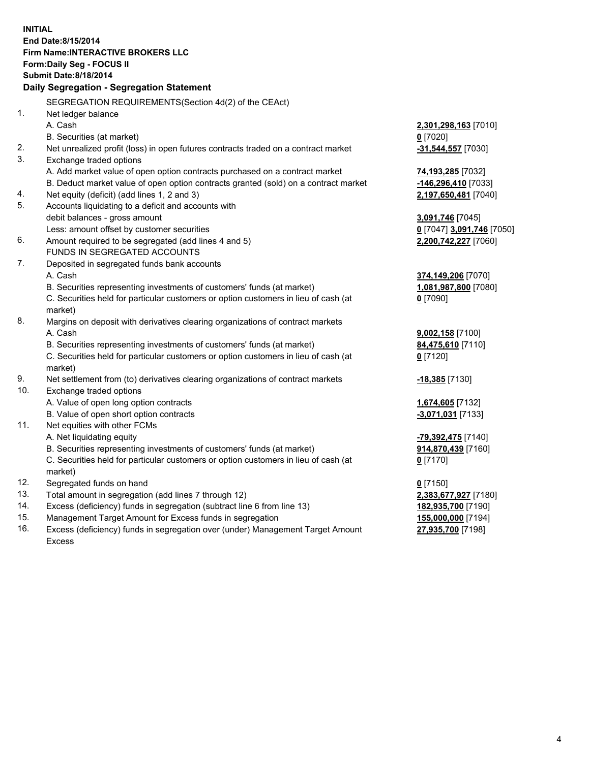**INITIAL End Date:8/15/2014 Firm Name:INTERACTIVE BROKERS LLC Form:Daily Seg - FOCUS II Submit Date:8/18/2014 Daily Segregation - Segregation Statement** SEGREGATION REQUIREMENTS(Section 4d(2) of the CEAct) 1. Net ledger balance A. Cash **2,301,298,163** [7010] B. Securities (at market) **0** [7020] 2. Net unrealized profit (loss) in open futures contracts traded on a contract market **-31,544,557** [7030] 3. Exchange traded options A. Add market value of open option contracts purchased on a contract market **74,193,285** [7032] B. Deduct market value of open option contracts granted (sold) on a contract market **-146,296,410** [7033] 4. Net equity (deficit) (add lines 1, 2 and 3) **2,197,650,481** [7040] 5. Accounts liquidating to a deficit and accounts with debit balances - gross amount **3,091,746** [7045] Less: amount offset by customer securities **0** [7047] **3,091,746** [7050] 6. Amount required to be segregated (add lines 4 and 5) **2,200,742,227** [7060] FUNDS IN SEGREGATED ACCOUNTS 7. Deposited in segregated funds bank accounts A. Cash **374,149,206** [7070] B. Securities representing investments of customers' funds (at market) **1,081,987,800** [7080] C. Securities held for particular customers or option customers in lieu of cash (at market) **0** [7090] 8. Margins on deposit with derivatives clearing organizations of contract markets A. Cash **9,002,158** [7100] B. Securities representing investments of customers' funds (at market) **84,475,610** [7110] C. Securities held for particular customers or option customers in lieu of cash (at market) **0** [7120] 9. Net settlement from (to) derivatives clearing organizations of contract markets **-18,385** [7130] 10. Exchange traded options A. Value of open long option contracts **1,674,605** [7132] B. Value of open short option contracts **-3,071,031** [7133] 11. Net equities with other FCMs A. Net liquidating equity **-79,392,475** [7140] B. Securities representing investments of customers' funds (at market) **914,870,439** [7160] C. Securities held for particular customers or option customers in lieu of cash (at market) **0** [7170] 12. Segregated funds on hand **0** [7150] 13. Total amount in segregation (add lines 7 through 12) **2,383,677,927** [7180] 14. Excess (deficiency) funds in segregation (subtract line 6 from line 13) **182,935,700** [7190] 15. Management Target Amount for Excess funds in segregation **155,000,000** [7194]

16. Excess (deficiency) funds in segregation over (under) Management Target Amount Excess

**27,935,700** [7198]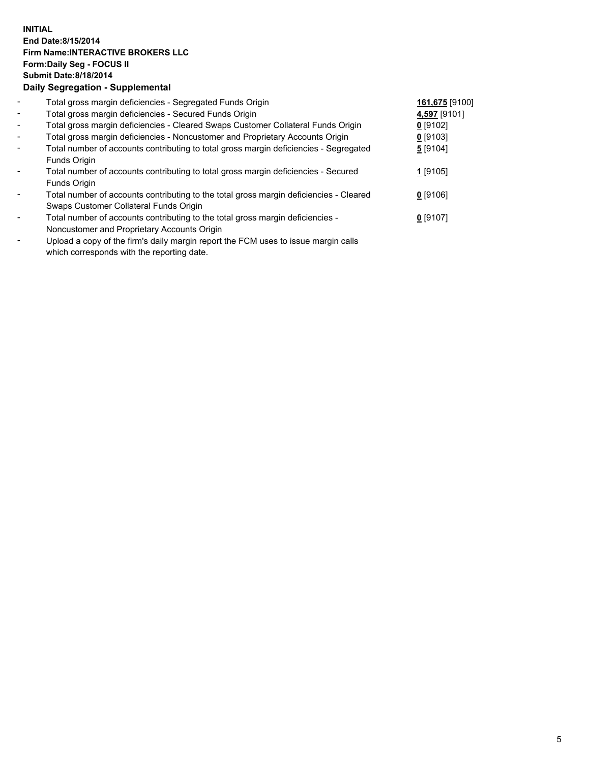## **INITIAL End Date:8/15/2014 Firm Name:INTERACTIVE BROKERS LLC Form:Daily Seg - FOCUS II Submit Date:8/18/2014 Daily Segregation - Supplemental**

| $\blacksquare$ | Total gross margin deficiencies - Segregated Funds Origin                              | 161,675 [9100] |  |
|----------------|----------------------------------------------------------------------------------------|----------------|--|
| $\sim$         | Total gross margin deficiencies - Secured Funds Origin                                 | 4,597 [9101]   |  |
| $\blacksquare$ | Total gross margin deficiencies - Cleared Swaps Customer Collateral Funds Origin       | $0$ [9102]     |  |
| $\sim$         | Total gross margin deficiencies - Noncustomer and Proprietary Accounts Origin          | $0$ [9103]     |  |
| $\blacksquare$ | Total number of accounts contributing to total gross margin deficiencies - Segregated  | 5 [9104]       |  |
|                | Funds Origin                                                                           |                |  |
|                | Total number of accounts contributing to total gross margin deficiencies - Secured     | 1 [9105]       |  |
|                | Funds Origin                                                                           |                |  |
|                | Total number of accounts contributing to the total gross margin deficiencies - Cleared | $0$ [9106]     |  |
|                | Swaps Customer Collateral Funds Origin                                                 |                |  |
|                | Total number of accounts contributing to the total gross margin deficiencies -         | $0$ [9107]     |  |
|                | Noncustomer and Proprietary Accounts Origin                                            |                |  |
|                |                                                                                        |                |  |

- Upload a copy of the firm's daily margin report the FCM uses to issue margin calls which corresponds with the reporting date.